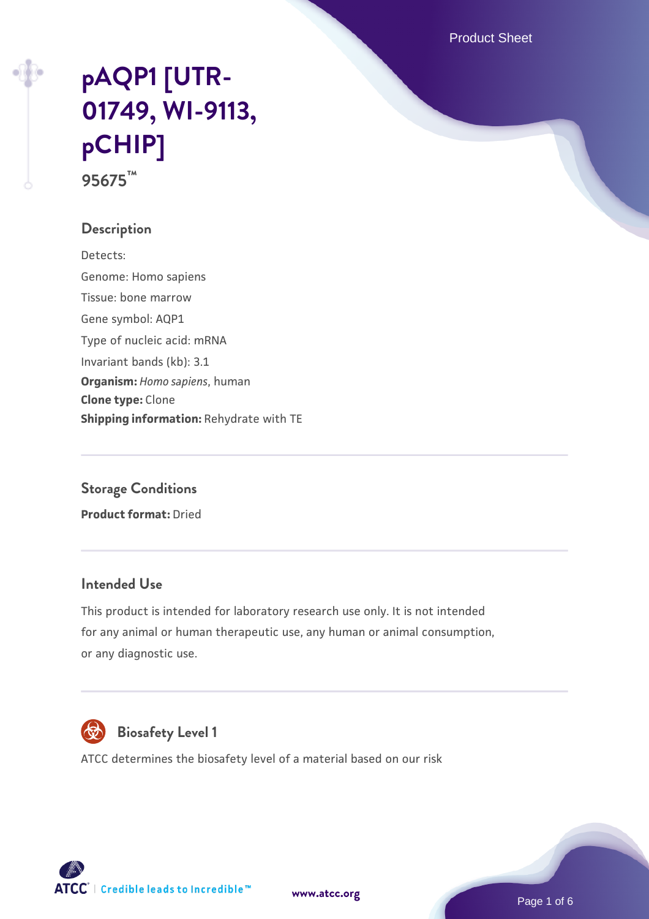Product Sheet

# **[pAQP1 \[UTR-](https://www.atcc.org/products/95675)[01749, WI-9113,](https://www.atcc.org/products/95675) [pCHIP\]](https://www.atcc.org/products/95675) 95675™**

#### **Description**

Detects: Genome: Homo sapiens Tissue: bone marrow Gene symbol: AQP1 Type of nucleic acid: mRNA Invariant bands (kb): 3.1 **Organism:** *Homo sapiens*, human **Clone type:** Clone **Shipping information:** Rehydrate with TE

# **Storage Conditions Product format:** Dried

#### **Intended Use**

This product is intended for laboratory research use only. It is not intended for any animal or human therapeutic use, any human or animal consumption, or any diagnostic use.



# **Biosafety Level 1**

ATCC determines the biosafety level of a material based on our risk



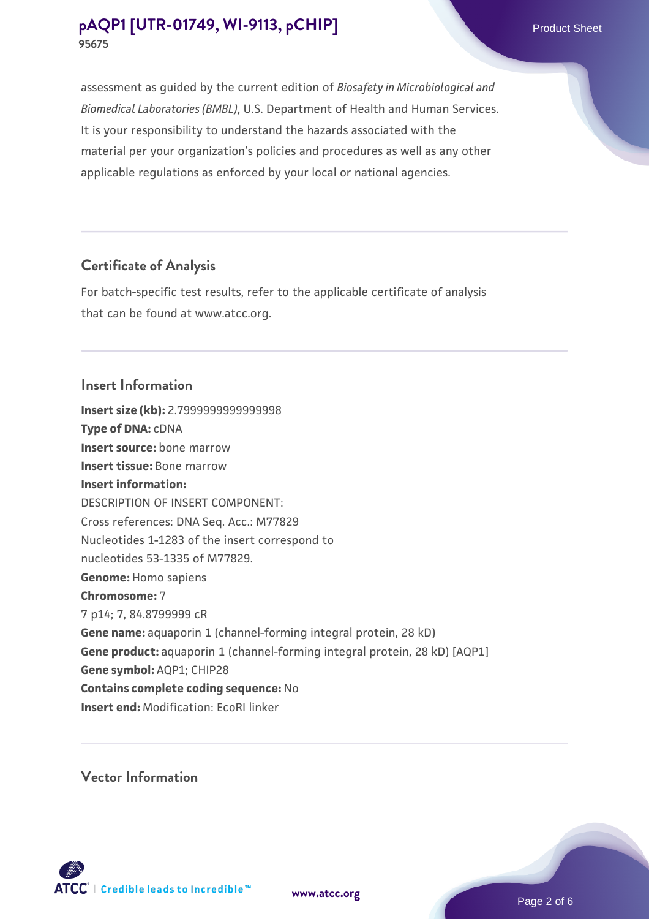# **Certificate of Analysis**

For batch-specific test results, refer to the applicable certificate of analysis that can be found at www.atcc.org.

#### **Insert Information**

**Insert size (kb):** 2.7999999999999998 **Type of DNA:** cDNA **Insert source:** bone marrow **Insert tissue:** Bone marrow **Insert information:** DESCRIPTION OF INSERT COMPONENT: Cross references: DNA Seq. Acc.: M77829 Nucleotides 1-1283 of the insert correspond to nucleotides 53-1335 of M77829. **Genome:** Homo sapiens **Chromosome:** 7 7 p14; 7, 84.8799999 cR **Gene name:** aquaporin 1 (channel-forming integral protein, 28 kD) **Gene product:** aquaporin 1 (channel-forming integral protein, 28 kD) [AQP1] **Gene symbol:** AQP1; CHIP28 **Contains complete coding sequence:** No **Insert end:** Modification: EcoRI linker

**Vector Information**



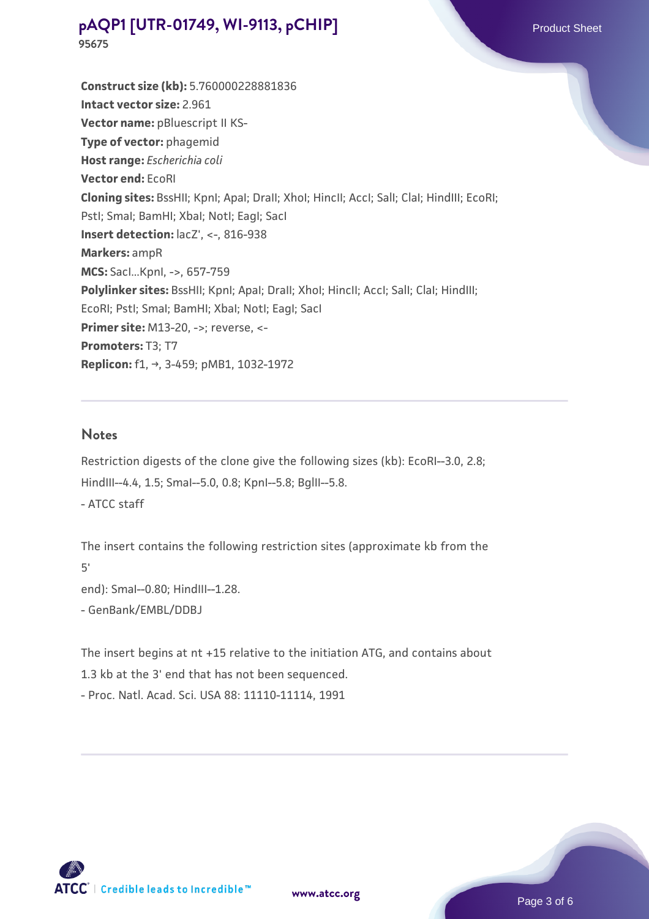**Construct size (kb):** 5.760000228881836 **Intact vector size:** 2.961 **Vector name:** pBluescript II KS-**Type of vector:** phagemid **Host range:** *Escherichia coli* **Vector end:** EcoRI **Cloning sites:** BssHII; KpnI; ApaI; DraII; XhoI; HincII; AccI; SalI; ClaI; HindIII; EcoRI; PstI; SmaI; BamHI; XbaI; NotI; EagI; SacI **Insert detection:**  $lacZ'$ , <-, 816-938 **Markers:** ampR **MCS:** SacI...KpnI, ->, 657-759 **Polylinker sites:** BssHII; KpnI; ApaI; DraII; XhoI; HincII; AccI; SaII; ClaI; HindIII; EcoRI; PstI; SmaI; BamHI; XbaI; NotI; EagI; SacI **Primer site: M13-20, ->; reverse, <-Promoters:** T3; T7 **Replicon:** f1, →, 3-459; pMB1, 1032-1972

#### **Notes**

Restriction digests of the clone give the following sizes (kb): EcoRI--3.0, 2.8; HindIII--4.4, 1.5; SmaI--5.0, 0.8; KpnI--5.8; BglII--5.8. - ATCC staff

The insert contains the following restriction sites (approximate kb from the 5' end): SmaI--0.80; HindIII--1.28. - GenBank/EMBL/DDBJ

The insert begins at nt +15 relative to the initiation ATG, and contains about 1.3 kb at the 3' end that has not been sequenced. - Proc. Natl. Acad. Sci. USA 88: 11110-11114, 1991

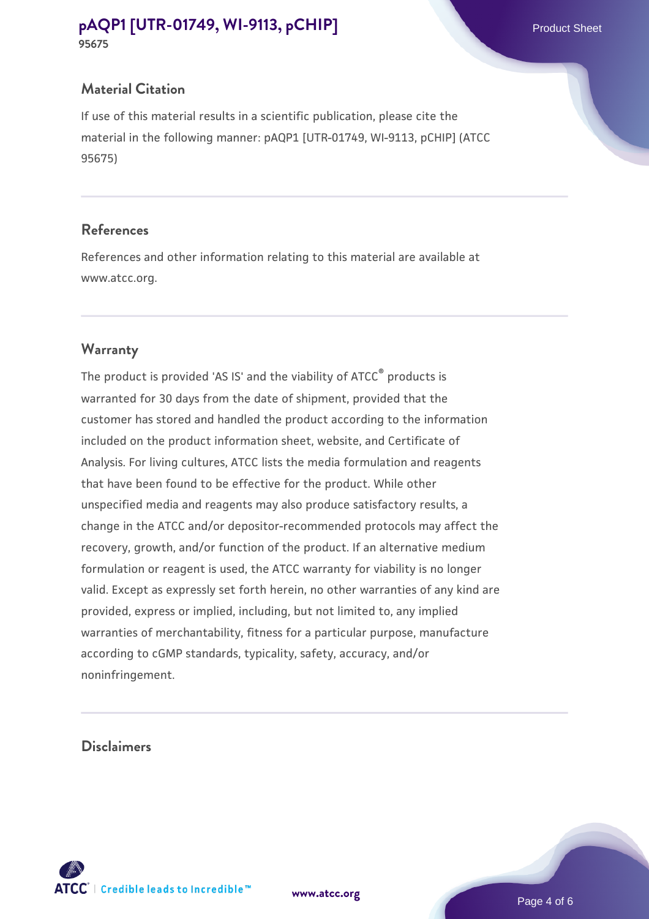# **Material Citation**

If use of this material results in a scientific publication, please cite the material in the following manner: pAQP1 [UTR-01749, WI-9113, pCHIP] (ATCC 95675)

#### **References**

References and other information relating to this material are available at www.atcc.org.

# **Warranty**

The product is provided 'AS IS' and the viability of ATCC® products is warranted for 30 days from the date of shipment, provided that the customer has stored and handled the product according to the information included on the product information sheet, website, and Certificate of Analysis. For living cultures, ATCC lists the media formulation and reagents that have been found to be effective for the product. While other unspecified media and reagents may also produce satisfactory results, a change in the ATCC and/or depositor-recommended protocols may affect the recovery, growth, and/or function of the product. If an alternative medium formulation or reagent is used, the ATCC warranty for viability is no longer valid. Except as expressly set forth herein, no other warranties of any kind are provided, express or implied, including, but not limited to, any implied warranties of merchantability, fitness for a particular purpose, manufacture according to cGMP standards, typicality, safety, accuracy, and/or noninfringement.

#### **Disclaimers**



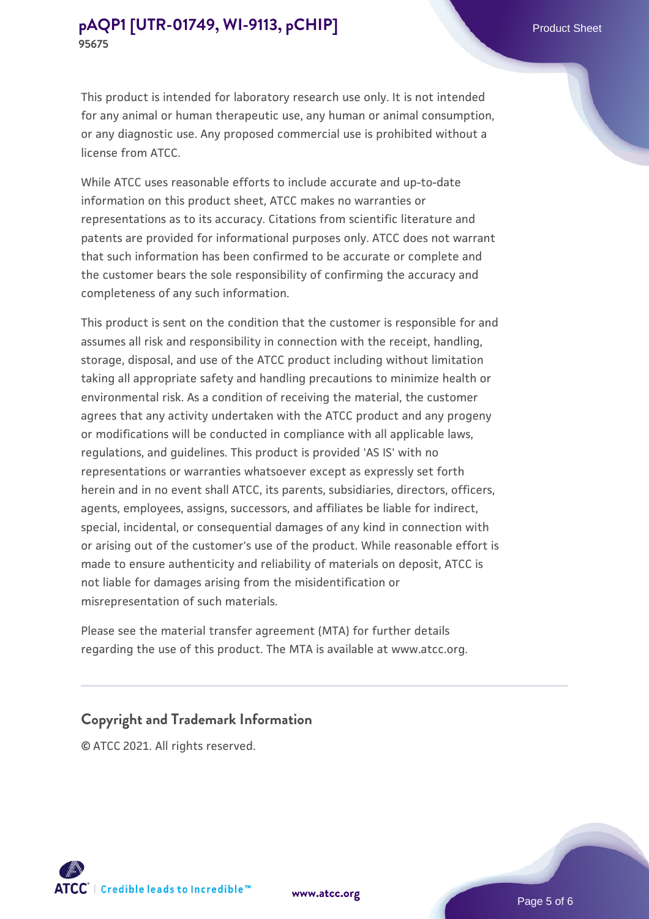While ATCC uses reasonable efforts to include accurate and up-to-date information on this product sheet, ATCC makes no warranties or representations as to its accuracy. Citations from scientific literature and patents are provided for informational purposes only. ATCC does not warrant that such information has been confirmed to be accurate or complete and the customer bears the sole responsibility of confirming the accuracy and completeness of any such information.

This product is sent on the condition that the customer is responsible for and assumes all risk and responsibility in connection with the receipt, handling, storage, disposal, and use of the ATCC product including without limitation taking all appropriate safety and handling precautions to minimize health or environmental risk. As a condition of receiving the material, the customer agrees that any activity undertaken with the ATCC product and any progeny or modifications will be conducted in compliance with all applicable laws, regulations, and guidelines. This product is provided 'AS IS' with no representations or warranties whatsoever except as expressly set forth herein and in no event shall ATCC, its parents, subsidiaries, directors, officers, agents, employees, assigns, successors, and affiliates be liable for indirect, special, incidental, or consequential damages of any kind in connection with or arising out of the customer's use of the product. While reasonable effort is made to ensure authenticity and reliability of materials on deposit, ATCC is not liable for damages arising from the misidentification or misrepresentation of such materials.

Please see the material transfer agreement (MTA) for further details regarding the use of this product. The MTA is available at www.atcc.org.

#### **Copyright and Trademark Information**

© ATCC 2021. All rights reserved.